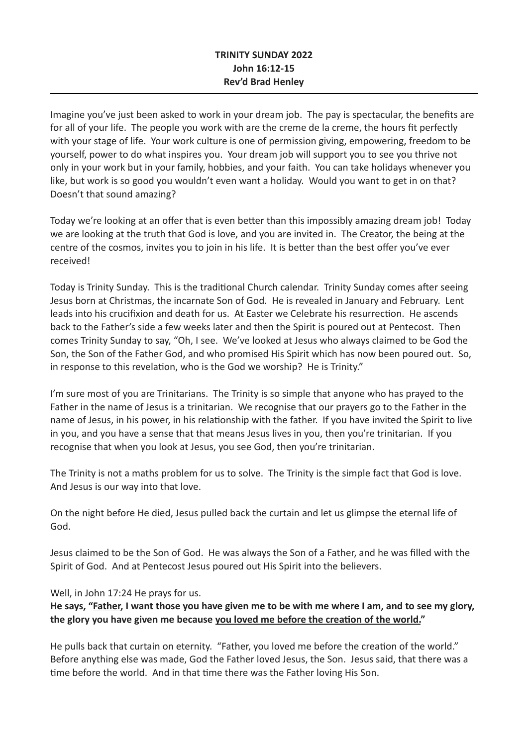## **TRINITY SUNDAY 2022 John 16:12-15 Rev'd Brad Henley**

Imagine you've just been asked to work in your dream job. The pay is spectacular, the benefits are for all of your life. The people you work with are the creme de la creme, the hours fit perfectly with your stage of life. Your work culture is one of permission giving, empowering, freedom to be yourself, power to do what inspires you. Your dream job will support you to see you thrive not only in your work but in your family, hobbies, and your faith. You can take holidays whenever you like, but work is so good you wouldn't even want a holiday. Would you want to get in on that? Doesn't that sound amazing?

Today we're looking at an offer that is even better than this impossibly amazing dream job! Today we are looking at the truth that God is love, and you are invited in. The Creator, the being at the centre of the cosmos, invites you to join in his life. It is better than the best offer you've ever received!

Today is Trinity Sunday. This is the traditional Church calendar. Trinity Sunday comes after seeing Jesus born at Christmas, the incarnate Son of God. He is revealed in January and February. Lent leads into his crucifixion and death for us. At Easter we Celebrate his resurrection. He ascends back to the Father's side a few weeks later and then the Spirit is poured out at Pentecost. Then comes Trinity Sunday to say, "Oh, I see. We've looked at Jesus who always claimed to be God the Son, the Son of the Father God, and who promised His Spirit which has now been poured out. So, in response to this revelation, who is the God we worship? He is Trinity."

I'm sure most of you are Trinitarians. The Trinity is so simple that anyone who has prayed to the Father in the name of Jesus is a trinitarian. We recognise that our prayers go to the Father in the name of Jesus, in his power, in his relationship with the father. If you have invited the Spirit to live in you, and you have a sense that that means Jesus lives in you, then you're trinitarian. If you recognise that when you look at Jesus, you see God, then you're trinitarian.

The Trinity is not a maths problem for us to solve. The Trinity is the simple fact that God is love. And Jesus is our way into that love.

On the night before He died, Jesus pulled back the curtain and let us glimpse the eternal life of God.

Jesus claimed to be the Son of God. He was always the Son of a Father, and he was filled with the Spirit of God. And at Pentecost Jesus poured out His Spirit into the believers.

Well, in John 17:24 He prays for us.

## **He says, "Father, I want those you have given me to be with me where I am, and to see my glory, the glory you have given me because you loved me before the creation of the world."**

He pulls back that curtain on eternity. "Father, you loved me before the creation of the world." Before anything else was made, God the Father loved Jesus, the Son. Jesus said, that there was a time before the world. And in that time there was the Father loving His Son.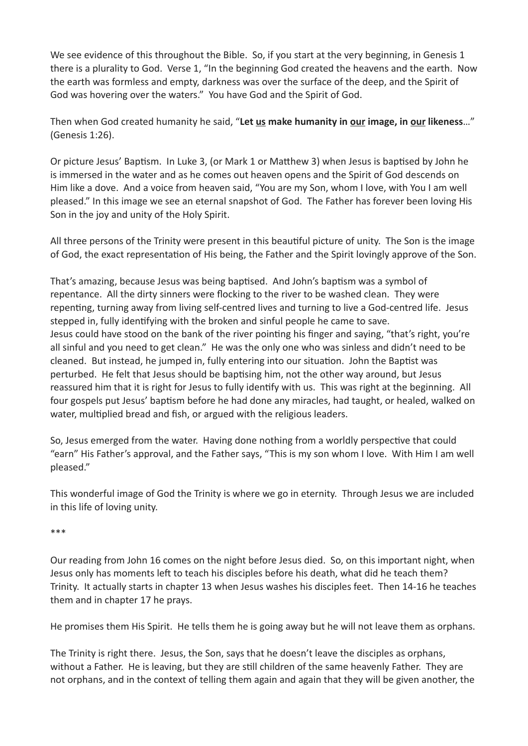We see evidence of this throughout the Bible. So, if you start at the very beginning, in Genesis 1 there is a plurality to God. Verse 1, "In the beginning God created the heavens and the earth. Now the earth was formless and empty, darkness was over the surface of the deep, and the Spirit of God was hovering over the waters." You have God and the Spirit of God.

Then when God created humanity he said, "**Let us make humanity in our image, in our likeness**…" (Genesis 1:26).

Or picture Jesus' Baptism. In Luke 3, (or Mark 1 or Matthew 3) when Jesus is baptised by John he is immersed in the water and as he comes out heaven opens and the Spirit of God descends on Him like a dove. And a voice from heaven said, "You are my Son, whom I love, with You I am well pleased." In this image we see an eternal snapshot of God. The Father has forever been loving His Son in the joy and unity of the Holy Spirit.

All three persons of the Trinity were present in this beautiful picture of unity. The Son is the image of God, the exact representation of His being, the Father and the Spirit lovingly approve of the Son.

That's amazing, because Jesus was being baptised. And John's baptism was a symbol of repentance. All the dirty sinners were flocking to the river to be washed clean. They were repenting, turning away from living self-centred lives and turning to live a God-centred life. Jesus stepped in, fully identifying with the broken and sinful people he came to save. Jesus could have stood on the bank of the river pointing his finger and saying, "that's right, you're all sinful and you need to get clean." He was the only one who was sinless and didn't need to be cleaned. But instead, he jumped in, fully entering into our situation. John the Baptist was perturbed. He felt that Jesus should be baptising him, not the other way around, but Jesus reassured him that it is right for Jesus to fully identify with us. This was right at the beginning. All four gospels put Jesus' baptism before he had done any miracles, had taught, or healed, walked on water, multiplied bread and fish, or argued with the religious leaders.

So, Jesus emerged from the water. Having done nothing from a worldly perspective that could "earn" His Father's approval, and the Father says, "This is my son whom I love. With Him I am well pleased."

This wonderful image of God the Trinity is where we go in eternity. Through Jesus we are included in this life of loving unity.

\*\*\*

Our reading from John 16 comes on the night before Jesus died. So, on this important night, when Jesus only has moments left to teach his disciples before his death, what did he teach them? Trinity. It actually starts in chapter 13 when Jesus washes his disciples feet. Then 14-16 he teaches them and in chapter 17 he prays.

He promises them His Spirit. He tells them he is going away but he will not leave them as orphans.

The Trinity is right there. Jesus, the Son, says that he doesn't leave the disciples as orphans, without a Father. He is leaving, but they are still children of the same heavenly Father. They are not orphans, and in the context of telling them again and again that they will be given another, the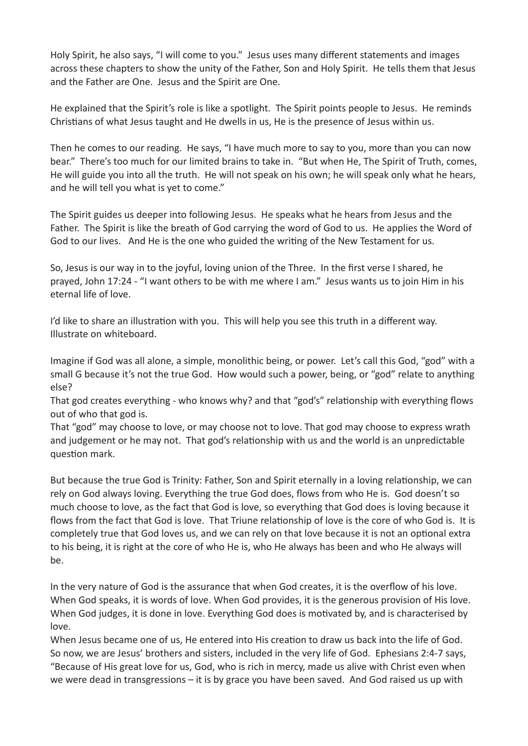Holy Spirit, he also says, "I will come to you." Jesus uses many different statements and images across these chapters to show the unity of the Father, Son and Holy Spirit. He tells them that Jesus and the Father are One. Jesus and the Spirit are One.

He explained that the Spirit's role is like a spotlight. The Spirit points people to Jesus. He reminds Christians of what Jesus taught and He dwells in us, He is the presence of Jesus within us.

Then he comes to our reading. He says, "I have much more to say to you, more than you can now bear." There's too much for our limited brains to take in. "But when He, The Spirit of Truth, comes, He will guide you into all the truth. He will not speak on his own; he will speak only what he hears, and he will tell you what is yet to come."

The Spirit guides us deeper into following Jesus. He speaks what he hears from Jesus and the Father. The Spirit is like the breath of God carrying the word of God to us. He applies the Word of God to our lives. And He is the one who guided the writing of the New Testament for us.

So, Jesus is our way in to the joyful, loving union of the Three. In the first verse I shared, he prayed, John 17:24 - "I want others to be with me where I am." Jesus wants us to join Him in his eternal life of love.

I'd like to share an illustration with you. This will help you see this truth in a different way. Illustrate on whiteboard.

Imagine if God was all alone, a simple, monolithic being, or power. Let's call this God, "god" with a small G because it's not the true God. How would such a power, being, or "god" relate to anything else?

That god creates everything - who knows why? and that "god's" relationship with everything flows out of who that god is.

That "god" may choose to love, or may choose not to love. That god may choose to express wrath and judgement or he may not. That god's relationship with us and the world is an unpredictable question mark.

But because the true God is Trinity: Father, Son and Spirit eternally in a loving relationship, we can rely on God always loving. Everything the true God does, flows from who He is. God doesn't so much choose to love, as the fact that God is love, so everything that God does is loving because it flows from the fact that God is love. That Triune relationship of love is the core of who God is. It is completely true that God loves us, and we can rely on that love because it is not an optional extra to his being, it is right at the core of who He is, who He always has been and who He always will be.

In the very nature of God is the assurance that when God creates, it is the overflow of his love. When God speaks, it is words of love. When God provides, it is the generous provision of His love. When God judges, it is done in love. Everything God does is motivated by, and is characterised by love.

When Jesus became one of us, He entered into His creation to draw us back into the life of God. So now, we are Jesus' brothers and sisters, included in the very life of God. Ephesians 2:4-7 says, "Because of His great love for us, God, who is rich in mercy, made us alive with Christ even when we were dead in transgressions – it is by grace you have been saved. And God raised us up with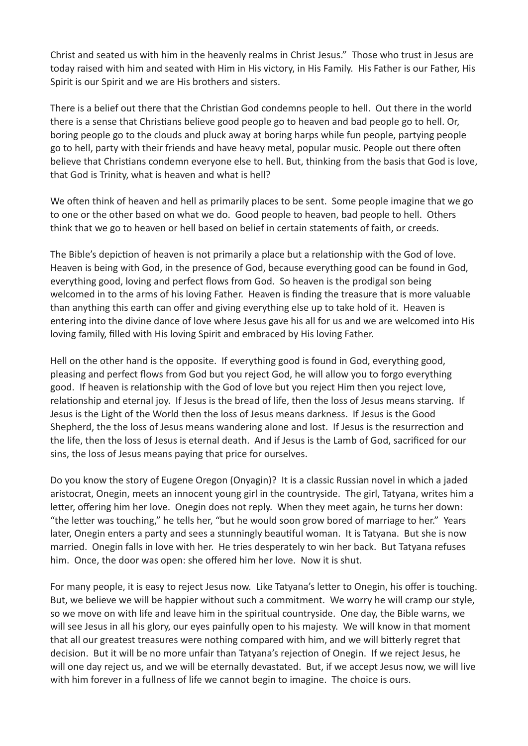Christ and seated us with him in the heavenly realms in Christ Jesus." Those who trust in Jesus are today raised with him and seated with Him in His victory, in His Family. His Father is our Father, His Spirit is our Spirit and we are His brothers and sisters.

There is a belief out there that the Christian God condemns people to hell. Out there in the world there is a sense that Christians believe good people go to heaven and bad people go to hell. Or, boring people go to the clouds and pluck away at boring harps while fun people, partying people go to hell, party with their friends and have heavy metal, popular music. People out there often believe that Christians condemn everyone else to hell. But, thinking from the basis that God is love, that God is Trinity, what is heaven and what is hell?

We often think of heaven and hell as primarily places to be sent. Some people imagine that we go to one or the other based on what we do. Good people to heaven, bad people to hell. Others think that we go to heaven or hell based on belief in certain statements of faith, or creeds.

The Bible's depiction of heaven is not primarily a place but a relationship with the God of love. Heaven is being with God, in the presence of God, because everything good can be found in God, everything good, loving and perfect flows from God. So heaven is the prodigal son being welcomed in to the arms of his loving Father. Heaven is finding the treasure that is more valuable than anything this earth can offer and giving everything else up to take hold of it. Heaven is entering into the divine dance of love where Jesus gave his all for us and we are welcomed into His loving family, filled with His loving Spirit and embraced by His loving Father.

Hell on the other hand is the opposite. If everything good is found in God, everything good, pleasing and perfect flows from God but you reject God, he will allow you to forgo everything good. If heaven is relationship with the God of love but you reject Him then you reject love, relationship and eternal joy. If Jesus is the bread of life, then the loss of Jesus means starving. If Jesus is the Light of the World then the loss of Jesus means darkness. If Jesus is the Good Shepherd, the the loss of Jesus means wandering alone and lost. If Jesus is the resurrection and the life, then the loss of Jesus is eternal death. And if Jesus is the Lamb of God, sacrificed for our sins, the loss of Jesus means paying that price for ourselves.

Do you know the story of Eugene Oregon (Onyagin)? It is a classic Russian novel in which a jaded aristocrat, Onegin, meets an innocent young girl in the countryside. The girl, Tatyana, writes him a letter, offering him her love. Onegin does not reply. When they meet again, he turns her down: "the letter was touching," he tells her, "but he would soon grow bored of marriage to her." Years later, Onegin enters a party and sees a stunningly beautiful woman. It is Tatyana. But she is now married. Onegin falls in love with her. He tries desperately to win her back. But Tatyana refuses him. Once, the door was open: she offered him her love. Now it is shut.

For many people, it is easy to reject Jesus now. Like Tatyana's letter to Onegin, his offer is touching. But, we believe we will be happier without such a commitment. We worry he will cramp our style, so we move on with life and leave him in the spiritual countryside. One day, the Bible warns, we will see Jesus in all his glory, our eyes painfully open to his majesty. We will know in that moment that all our greatest treasures were nothing compared with him, and we will bitterly regret that decision. But it will be no more unfair than Tatyana's rejection of Onegin. If we reject Jesus, he will one day reject us, and we will be eternally devastated. But, if we accept Jesus now, we will live with him forever in a fullness of life we cannot begin to imagine. The choice is ours.